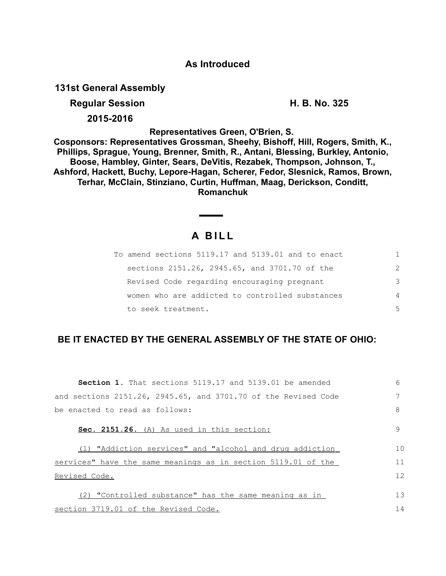## **As Introduced**

**131st General Assembly**

**Regular Session H. B. No. 325** 

**2015-2016**

**Representatives Green, O'Brien, S.** 

**Cosponsors: Representatives Grossman, Sheehy, Bishoff, Hill, Rogers, Smith, K., Phillips, Sprague, Young, Brenner, Smith, R., Antani, Blessing, Burkley, Antonio, Boose, Hambley, Ginter, Sears, DeVitis, Rezabek, Thompson, Johnson, T., Ashford, Hackett, Buchy, Lepore-Hagan, Scherer, Fedor, Slesnick, Ramos, Brown, Terhar, McClain, Stinziano, Curtin, Huffman, Maag, Derickson, Conditt, Romanchuk**

# **A B I L L**

| To amend sections 5119.17 and 5139.01 and to enact |                |
|----------------------------------------------------|----------------|
| sections 2151.26, 2945.65, and 3701.70 of the      | $\mathcal{P}$  |
| Revised Code regarding encouraging pregnant        | 3              |
| women who are addicted to controlled substances    | 4              |
| to seek treatment.                                 | $\overline{5}$ |

# **BE IT ENACTED BY THE GENERAL ASSEMBLY OF THE STATE OF OHIO:**

| <b>Section 1.</b> That sections 5119.17 and 5139.01 be amended | 6  |
|----------------------------------------------------------------|----|
| and sections 2151.26, 2945.65, and 3701.70 of the Revised Code |    |
| be enacted to read as follows:                                 | 8  |
| Sec. 2151.26. (A) As used in this section:                     | 9  |
| (1) "Addiction services" and "alcohol and drug addiction       | 10 |
| services" have the same meanings as in section 5119.01 of the  | 11 |
| Revised Code.                                                  | 12 |
| (2) "Controlled substance" has the same meaning as in          | 13 |
| section 3719.01 of the Revised Code.                           | 14 |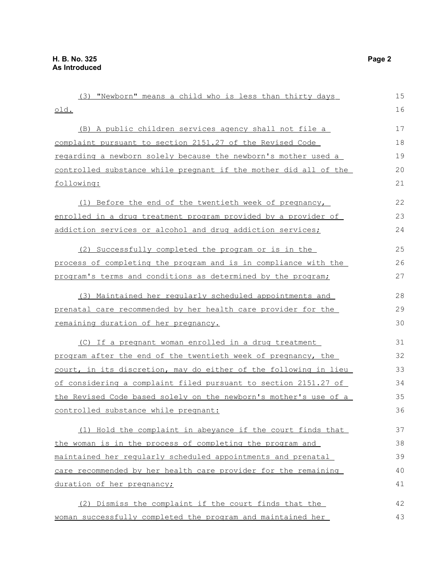(3) "Newborn" means a child who is less than thirty days old. (B) A public children services agency shall not file a complaint pursuant to section 2151.27 of the Revised Code regarding a newborn solely because the newborn's mother used a controlled substance while pregnant if the mother did all of the following: (1) Before the end of the twentieth week of pregnancy, enrolled in a drug treatment program provided by a provider of addiction services or alcohol and drug addiction services; (2) Successfully completed the program or is in the process of completing the program and is in compliance with the program's terms and conditions as determined by the program; (3) Maintained her regularly scheduled appointments and prenatal care recommended by her health care provider for the remaining duration of her pregnancy. (C) If a pregnant woman enrolled in a drug treatment program after the end of the twentieth week of pregnancy, the court, in its discretion, may do either of the following in lieu of considering a complaint filed pursuant to section 2151.27 of the Revised Code based solely on the newborn's mother's use of a controlled substance while pregnant: (1) Hold the complaint in abeyance if the court finds that the woman is in the process of completing the program and maintained her regularly scheduled appointments and prenatal care recommended by her health care provider for the remaining duration of her pregnancy; (2) Dismiss the complaint if the court finds that the woman successfully completed the program and maintained her 15 16 17 18 19 20 21 22 23 24 25 26 27 28 29 30 31 32 33 34 35 36 37 38 39 40 41 42 43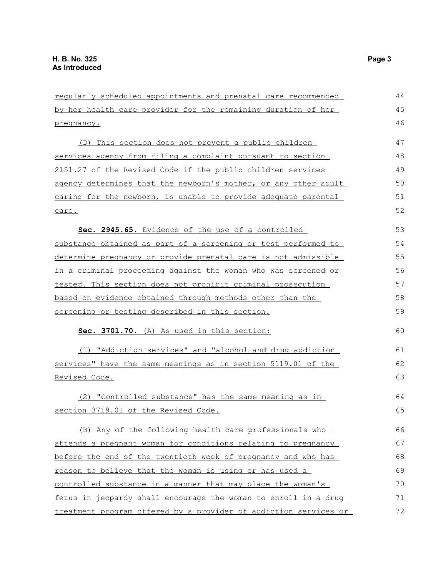regularly scheduled appointments and prenatal care recommended by her health care provider for the remaining duration of her pregnancy. (D) This section does not prevent a public children services agency from filing a complaint pursuant to section 2151.27 of the Revised Code if the public children services agency determines that the newborn's mother, or any other adult caring for the newborn, is unable to provide adequate parental care. **Sec. 2945.65.** Evidence of the use of a controlled substance obtained as part of a screening or test performed to determine pregnancy or provide prenatal care is not admissible in a criminal proceeding against the woman who was screened or tested. This section does not prohibit criminal prosecution based on evidence obtained through methods other than the screening or testing described in this section. **Sec. 3701.70.** (A) As used in this section: (1) " Addiction services" and "alcohol and drug addiction services" have the same meanings as in section 5119.01 of the Revised Code. (2) "Controlled substance" has the same meaning as in section 3719.01 of the Revised Code. (B) Any of the following health care professionals who attends a pregnant woman for conditions relating to pregnancy before the end of the twentieth week of pregnancy and who has reason to believe that the woman is using or has used a controlled substance in a manner that may place the woman's fetus in jeopardy shall encourage the woman to enroll in a drug treatment program offered by a provider of addiction services or 44 45 46 47 48 49 50 51 52 53 54 55 56 57 58 59 60 61 62 63 64 65 66 67 68 69 70 71 72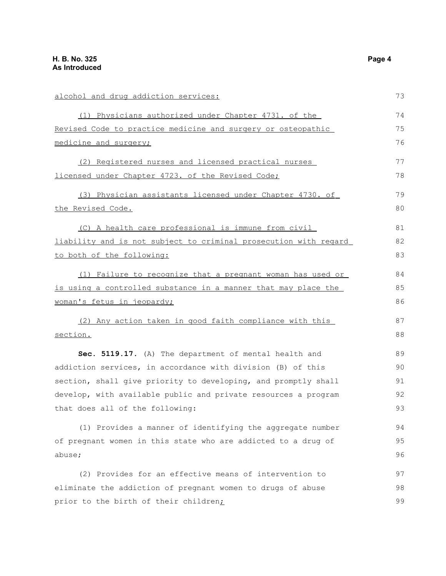| alcohol and drug addiction services:                             | 73 |
|------------------------------------------------------------------|----|
| (1) Physicians authorized under Chapter 4731. of the             | 74 |
| Revised Code to practice medicine and surgery or osteopathic     | 75 |
| medicine and surgery;                                            |    |
| (2) Registered nurses and licensed practical nurses              | 77 |
| licensed under Chapter 4723. of the Revised Code;                | 78 |
| (3) Physician assistants licensed under Chapter 4730. of         | 79 |
| the Revised Code.                                                | 80 |
| (C) A health care professional is immune from civil              | 81 |
| liability and is not subject to criminal prosecution with regard | 82 |
| to both of the following:                                        | 83 |
| (1) Failure to recognize that a pregnant woman has used or       | 84 |
| is using a controlled substance in a manner that may place the   | 85 |
| woman's fetus in jeopardy;                                       | 86 |
| (2) Any action taken in good faith compliance with this          | 87 |
| section.                                                         | 88 |
| Sec. 5119.17. (A) The department of mental health and            | 89 |
| addiction services, in accordance with division (B) of this      | 90 |
| section, shall give priority to developing, and promptly shall   | 91 |
| develop, with available public and private resources a program   | 92 |
| that does all of the following:                                  | 93 |
| (1) Provides a manner of identifying the aggregate number        | 94 |
| of pregnant women in this state who are addicted to a drug of    | 95 |
| abuse;                                                           | 96 |
| (2) Provides for an effective means of intervention to           | 97 |
| eliminate the addiction of pregnant women to drugs of abuse      | 98 |
| prior to the birth of their children <sub>i</sub>                | 99 |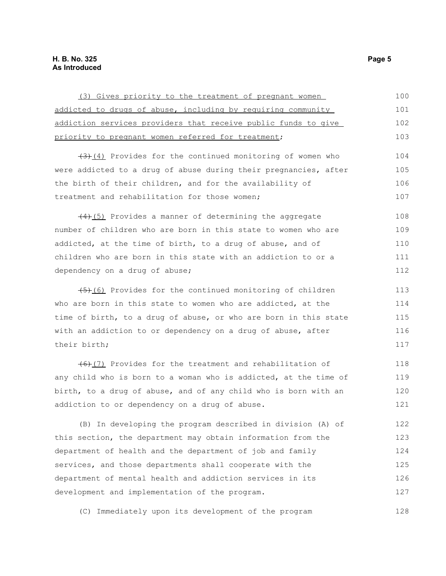### **H. B. No. 325 Page 5 As Introduced**

| (3) Gives priority to the treatment of pregnant women                | 100 |
|----------------------------------------------------------------------|-----|
| addicted to drugs of abuse, including by requiring community         | 101 |
| addiction services providers that receive public funds to give       | 102 |
| priority to pregnant women referred for treatment;                   | 103 |
| $\frac{1}{2}$ (4) Provides for the continued monitoring of women who | 104 |
| were addicted to a drug of abuse during their pregnancies, after     | 105 |
| the birth of their children, and for the availability of             | 106 |
| treatment and rehabilitation for those women;                        | 107 |
| $(4)$ (5) Provides a manner of determining the aggregate             | 108 |
| number of children who are born in this state to women who are       | 109 |
| addicted, at the time of birth, to a drug of abuse, and of           | 110 |
| children who are born in this state with an addiction to or a        | 111 |
| dependency on a drug of abuse;                                       | 112 |
| $(5)$ (6) Provides for the continued monitoring of children          | 113 |
| who are born in this state to women who are addicted, at the         | 114 |
| time of birth, to a drug of abuse, or who are born in this state     | 115 |
| with an addiction to or dependency on a drug of abuse, after         | 116 |
| their birth;                                                         | 117 |
| $(6)$ (7) Provides for the treatment and rehabilitation of           | 118 |
| any child who is born to a woman who is addicted, at the time of     | 119 |
| birth, to a drug of abuse, and of any child who is born with an      | 120 |
| addiction to or dependency on a drug of abuse.                       | 121 |
| (B) In developing the program described in division (A) of           | 122 |
| this section, the department may obtain information from the         | 123 |
| department of health and the department of job and family            | 124 |
| services, and those departments shall cooperate with the             | 125 |
| department of mental health and addiction services in its            | 126 |
| development and implementation of the program.                       | 127 |

(C) Immediately upon its development of the program 128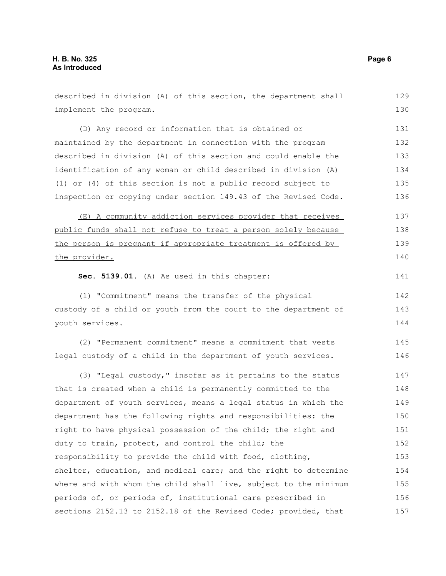implement the program. (D) Any record or information that is obtained or maintained by the department in connection with the program described in division (A) of this section and could enable the identification of any woman or child described in division (A) (1) or (4) of this section is not a public record subject to inspection or copying under section 149.43 of the Revised Code. (E) A community addiction services provider that receives public funds shall not refuse to treat a person solely because the person is pregnant if appropriate treatment is offered by the provider. **Sec. 5139.01.** (A) As used in this chapter: (1) "Commitment" means the transfer of the physical custody of a child or youth from the court to the department of youth services. (2) "Permanent commitment" means a commitment that vests legal custody of a child in the department of youth services. (3) "Legal custody," insofar as it pertains to the status that is created when a child is permanently committed to the department of youth services, means a legal status in which the department has the following rights and responsibilities: the right to have physical possession of the child; the right and duty to train, protect, and control the child; the responsibility to provide the child with food, clothing, shelter, education, and medical care; and the right to determine where and with whom the child shall live, subject to the minimum periods of, or periods of, institutional care prescribed in sections 2152.13 to 2152.18 of the Revised Code; provided, that 130 131 132 133 134 135 136 137 138 139 140 141 142 143 144 145 146 147 148 149 150 151 152 153 154 155 156 157

described in division (A) of this section, the department shall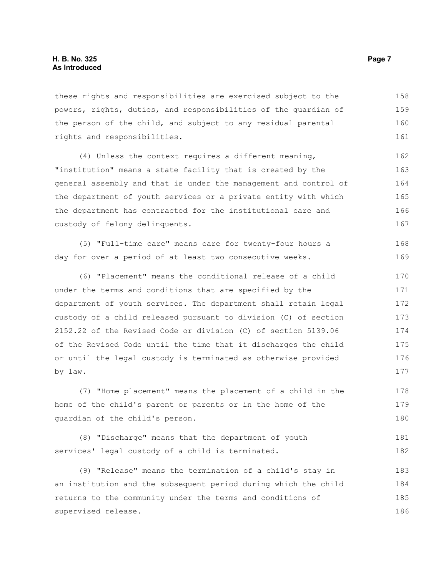these rights and responsibilities are exercised subject to the powers, rights, duties, and responsibilities of the guardian of the person of the child, and subject to any residual parental rights and responsibilities. 158 159 160 161

(4) Unless the context requires a different meaning, "institution" means a state facility that is created by the general assembly and that is under the management and control of the department of youth services or a private entity with which the department has contracted for the institutional care and custody of felony delinquents. 162 163 164 165 166 167

(5) "Full-time care" means care for twenty-four hours a day for over a period of at least two consecutive weeks. 168 169

(6) "Placement" means the conditional release of a child under the terms and conditions that are specified by the department of youth services. The department shall retain legal custody of a child released pursuant to division (C) of section 2152.22 of the Revised Code or division (C) of section 5139.06 of the Revised Code until the time that it discharges the child or until the legal custody is terminated as otherwise provided by law. 170 171 172 173 174 175 176 177

(7) "Home placement" means the placement of a child in the home of the child's parent or parents or in the home of the guardian of the child's person. 178 179 180

```
(8) "Discharge" means that the department of youth
services' legal custody of a child is terminated.
                                                                           181
                                                                           182
```
(9) "Release" means the termination of a child's stay in an institution and the subsequent period during which the child returns to the community under the terms and conditions of supervised release. 183 184 185 186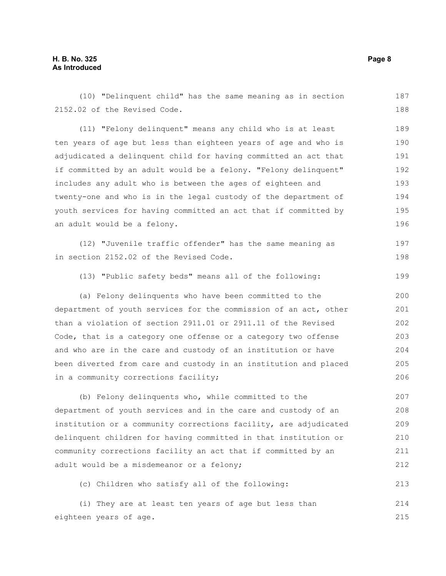(10) "Delinquent child" has the same meaning as in section 2152.02 of the Revised Code. (11) "Felony delinquent" means any child who is at least ten years of age but less than eighteen years of age and who is adjudicated a delinquent child for having committed an act that if committed by an adult would be a felony. "Felony delinquent" includes any adult who is between the ages of eighteen and twenty-one and who is in the legal custody of the department of youth services for having committed an act that if committed by an adult would be a felony. (12) "Juvenile traffic offender" has the same meaning as in section 2152.02 of the Revised Code. (13) "Public safety beds" means all of the following: (a) Felony delinquents who have been committed to the department of youth services for the commission of an act, other than a violation of section 2911.01 or 2911.11 of the Revised Code, that is a category one offense or a category two offense and who are in the care and custody of an institution or have been diverted from care and custody in an institution and placed in a community corrections facility; (b) Felony delinquents who, while committed to the department of youth services and in the care and custody of an institution or a community corrections facility, are adjudicated delinquent children for having committed in that institution or community corrections facility an act that if committed by an adult would be a misdemeanor or a felony; 187 188 189 190 191 192 193 194 195 196 197 198 199 200 201 202 203 204 205 206 207 208 209 210 211 212

(c) Children who satisfy all of the following: 213

(i) They are at least ten years of age but less than eighteen years of age. 214 215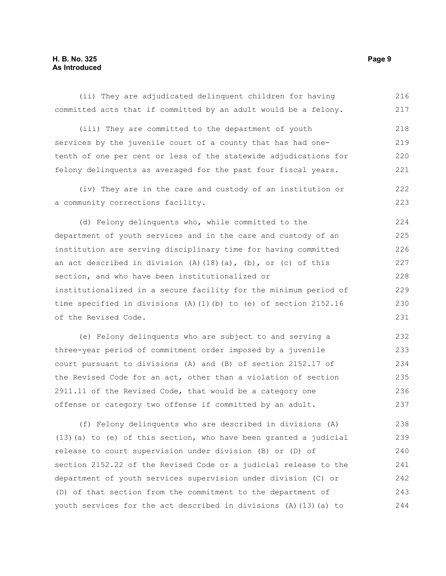### **H. B. No. 325 Page 9 As Introduced**

(ii) They are adjudicated delinquent children for having committed acts that if committed by an adult would be a felony. (iii) They are committed to the department of youth services by the juvenile court of a county that has had onetenth of one per cent or less of the statewide adjudications for felony delinquents as averaged for the past four fiscal years. (iv) They are in the care and custody of an institution or a community corrections facility. (d) Felony delinquents who, while committed to the department of youth services and in the care and custody of an institution are serving disciplinary time for having committed an act described in division  $(A)$   $(18)$   $(a)$ ,  $(b)$ , or  $(c)$  of this section, and who have been institutionalized or institutionalized in a secure facility for the minimum period of time specified in divisions (A)(1)(b) to (e) of section 2152.16 of the Revised Code. (e) Felony delinquents who are subject to and serving a three-year period of commitment order imposed by a juvenile court pursuant to divisions (A) and (B) of section 2152.17 of the Revised Code for an act, other than a violation of section 2911.11 of the Revised Code, that would be a category one offense or category two offense if committed by an adult. (f) Felony delinquents who are described in divisions (A) 216 217 218 219 220 221 222 223 224 225 226 227 228 229 230 231 232 233 234 235 236 237 238

(13)(a) to (e) of this section, who have been granted a judicial release to court supervision under division (B) or (D) of section 2152.22 of the Revised Code or a judicial release to the department of youth services supervision under division (C) or (D) of that section from the commitment to the department of youth services for the act described in divisions (A)(13)(a) to 239 240 241 242 243 244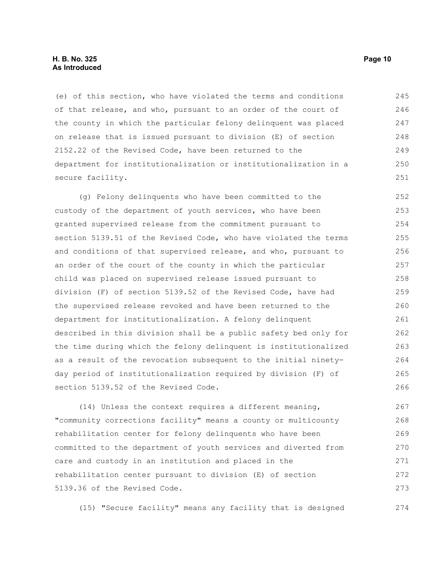#### **H. B. No. 325 Page 10 As Introduced**

(e) of this section, who have violated the terms and conditions of that release, and who, pursuant to an order of the court of the county in which the particular felony delinquent was placed on release that is issued pursuant to division (E) of section 2152.22 of the Revised Code, have been returned to the department for institutionalization or institutionalization in a secure facility. 245 246 247 248 249 250 251

(g) Felony delinquents who have been committed to the custody of the department of youth services, who have been granted supervised release from the commitment pursuant to section 5139.51 of the Revised Code, who have violated the terms and conditions of that supervised release, and who, pursuant to an order of the court of the county in which the particular child was placed on supervised release issued pursuant to division (F) of section 5139.52 of the Revised Code, have had the supervised release revoked and have been returned to the department for institutionalization. A felony delinquent described in this division shall be a public safety bed only for the time during which the felony delinquent is institutionalized as a result of the revocation subsequent to the initial ninetyday period of institutionalization required by division (F) of section 5139.52 of the Revised Code. 252 253 254 255 256 257 258 259 260 261 262 263 264 265 266

(14) Unless the context requires a different meaning, "community corrections facility" means a county or multicounty rehabilitation center for felony delinquents who have been committed to the department of youth services and diverted from care and custody in an institution and placed in the rehabilitation center pursuant to division (E) of section 5139.36 of the Revised Code. 267 268 269 270 271 272 273

(15) "Secure facility" means any facility that is designed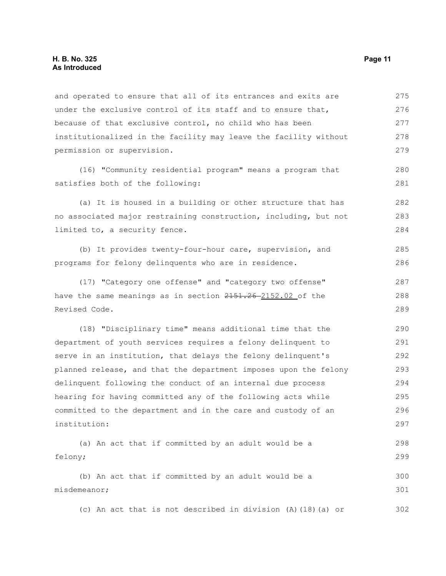and operated to ensure that all of its entrances and exits are under the exclusive control of its staff and to ensure that, because of that exclusive control, no child who has been institutionalized in the facility may leave the facility without permission or supervision. 275 276 277 278 279

(16) "Community residential program" means a program that satisfies both of the following:

(a) It is housed in a building or other structure that has no associated major restraining construction, including, but not limited to, a security fence. 282 283 284

(b) It provides twenty-four-hour care, supervision, and programs for felony delinquents who are in residence. 285 286

(17) "Category one offense" and "category two offense" have the same meanings as in section  $2151.26 - 2152.02$  of the Revised Code. 287 288 289

(18) "Disciplinary time" means additional time that the department of youth services requires a felony delinquent to serve in an institution, that delays the felony delinquent's planned release, and that the department imposes upon the felony delinquent following the conduct of an internal due process hearing for having committed any of the following acts while committed to the department and in the care and custody of an institution: 290 291 292 293 294 295 296 297

(a) An act that if committed by an adult would be a felony; 298 299

(b) An act that if committed by an adult would be a misdemeanor; 300 301

(c) An act that is not described in division (A)(18)(a) or 302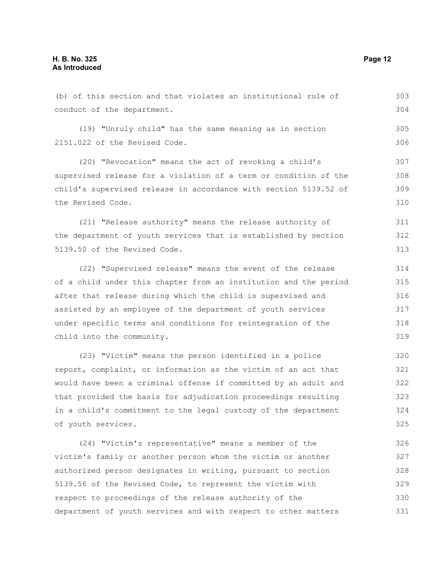conduct of the department.

the Revised Code.

(19) "Unruly child" has the same meaning as in section 2151.022 of the Revised Code. (20) "Revocation" means the act of revoking a child's supervised release for a violation of a term or condition of the child's supervised release in accordance with section 5139.52 of

(21) "Release authority" means the release authority of the department of youth services that is established by section 5139.50 of the Revised Code. 311 312 313

(b) of this section and that violates an institutional rule of

(22) "Supervised release" means the event of the release of a child under this chapter from an institution and the period after that release during which the child is supervised and assisted by an employee of the department of youth services under specific terms and conditions for reintegration of the child into the community. 314 315 316 317 318 319

(23) "Victim" means the person identified in a police report, complaint, or information as the victim of an act that would have been a criminal offense if committed by an adult and that provided the basis for adjudication proceedings resulting in a child's commitment to the legal custody of the department of youth services. 320 321 322 323 324 325

(24) "Victim's representative" means a member of the victim's family or another person whom the victim or another authorized person designates in writing, pursuant to section 5139.56 of the Revised Code, to represent the victim with respect to proceedings of the release authority of the department of youth services and with respect to other matters 326 327 328 329 330 331

303 304

305 306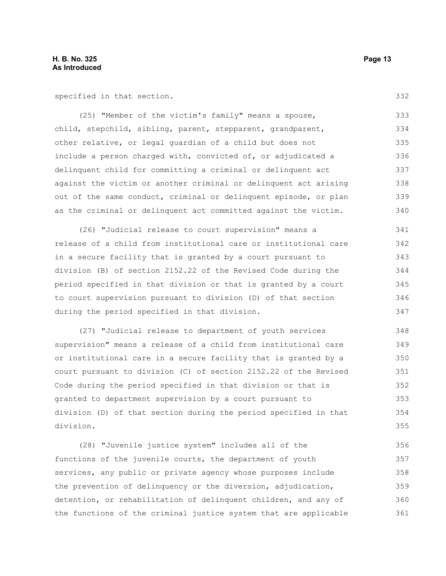specified in that section.

(25) "Member of the victim's family" means a spouse, child, stepchild, sibling, parent, stepparent, grandparent, other relative, or legal guardian of a child but does not include a person charged with, convicted of, or adjudicated a delinquent child for committing a criminal or delinquent act against the victim or another criminal or delinquent act arising out of the same conduct, criminal or delinquent episode, or plan as the criminal or delinquent act committed against the victim. 333 334 335 336 337 338 339 340

(26) "Judicial release to court supervision" means a release of a child from institutional care or institutional care in a secure facility that is granted by a court pursuant to division (B) of section 2152.22 of the Revised Code during the period specified in that division or that is granted by a court to court supervision pursuant to division (D) of that section during the period specified in that division. 341 342 343 344 345 346 347

(27) "Judicial release to department of youth services supervision" means a release of a child from institutional care or institutional care in a secure facility that is granted by a court pursuant to division (C) of section 2152.22 of the Revised Code during the period specified in that division or that is granted to department supervision by a court pursuant to division (D) of that section during the period specified in that division. 348 349 350 351 352 353 354 355

(28) "Juvenile justice system" includes all of the functions of the juvenile courts, the department of youth services, any public or private agency whose purposes include the prevention of delinquency or the diversion, adjudication, detention, or rehabilitation of delinquent children, and any of the functions of the criminal justice system that are applicable 356 357 358 359 360 361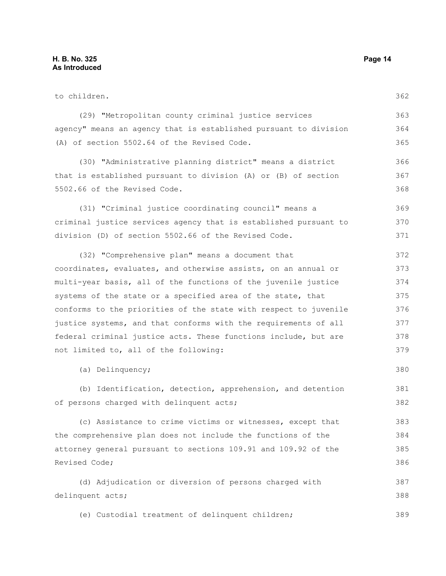to children. (29) "Metropolitan county criminal justice services agency" means an agency that is established pursuant to division (A) of section 5502.64 of the Revised Code. (30) "Administrative planning district" means a district that is established pursuant to division (A) or (B) of section 5502.66 of the Revised Code. (31) "Criminal justice coordinating council" means a criminal justice services agency that is established pursuant to division (D) of section 5502.66 of the Revised Code. (32) "Comprehensive plan" means a document that coordinates, evaluates, and otherwise assists, on an annual or multi-year basis, all of the functions of the juvenile justice systems of the state or a specified area of the state, that conforms to the priorities of the state with respect to juvenile justice systems, and that conforms with the requirements of all federal criminal justice acts. These functions include, but are not limited to, all of the following: (a) Delinquency; (b) Identification, detection, apprehension, and detention of persons charged with delinquent acts; (c) Assistance to crime victims or witnesses, except that the comprehensive plan does not include the functions of the attorney general pursuant to sections 109.91 and 109.92 of the Revised Code; (d) Adjudication or diversion of persons charged with delinquent acts; (e) Custodial treatment of delinquent children; 362 363 364 365 366 367 368 369 370 371 372 373 374 375 376 377 378 379 380 381 382 383 384 385 386 387 388 389